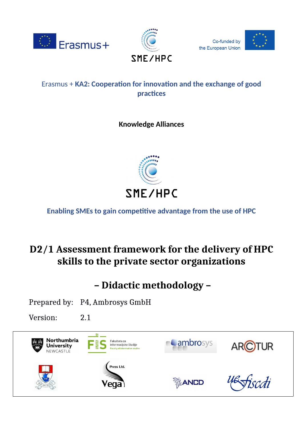



Co-funded by the European Union



# Erasmus + **KA2: Cooperation for innovation and the exchange of good practices**

# **Knowledge Alliances**



**Enabling SMEs to gain competitive advantage from the use of HPC**

# **D2/1 Assessment framework for the delivery of HPC skills to the private sector organizations**

 **– Didactic methodology –** 

Prepared by: P4, Ambrosys GmbH

Version: 2.1

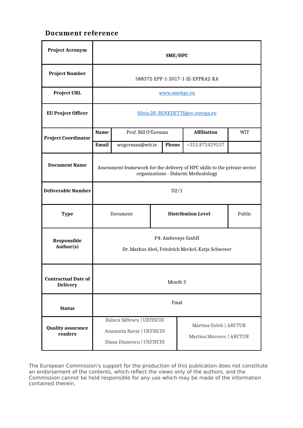## **Document reference**

| <b>Project Acronym</b>                        | SME/HPC                                                                                                           |                     |                           |                    |                                                    |  |
|-----------------------------------------------|-------------------------------------------------------------------------------------------------------------------|---------------------|---------------------------|--------------------|----------------------------------------------------|--|
| <b>Project Number</b>                         | 588372-EPP-1-2017-1-IE-EPPKA2-KA                                                                                  |                     |                           |                    |                                                    |  |
| <b>Project URL</b>                            | www.smehpc.eu                                                                                                     |                     |                           |                    |                                                    |  |
| <b>EU Project Officer</b>                     | Silvia.DE-BENEDETTI@ec.europa.eu                                                                                  |                     |                           |                    |                                                    |  |
| <b>Project Coordinator</b>                    | <b>Name</b>                                                                                                       | Prof. Bill O'Gorman |                           | <b>Affiliation</b> | WIT                                                |  |
|                                               | <b>Email</b>                                                                                                      | wogorman@wit.ie     |                           | <b>Phone</b>       | +353.872429537                                     |  |
| <b>Document Name</b>                          | Assessment framework for the delivery of HPC skills to the private sector<br>organizations - Didactic Methodology |                     |                           |                    |                                                    |  |
| <b>Deliverable Number</b>                     | D2/1                                                                                                              |                     |                           |                    |                                                    |  |
| <b>Type</b>                                   | Document                                                                                                          |                     | <b>Distribution Level</b> |                    | Public                                             |  |
| Responsible<br>Author(s)                      | P4: Ambrosys GmbH<br>Dr. Markus Abel, Friedrich Meckel, Katja Schweser                                            |                     |                           |                    |                                                    |  |
| <b>Contractual Date of</b><br><b>Delivery</b> | Month 3                                                                                                           |                     |                           |                    |                                                    |  |
| <b>Status</b>                                 | Final                                                                                                             |                     |                           |                    |                                                    |  |
| <b>Quality assurance</b><br>readers           | Raluca Săftescu   UEFISCDI<br>Anamaria Ravar   UEFISCDI<br>Diana Diamescu   UEFISCDI                              |                     |                           |                    | Martina Golob   ARCTUR<br>Martina Murovec   ARCTUR |  |

The European Commission's support for the production of this publication does not constitute an endorsement of the contents, which reflect the views only of the authors, and the Commission cannot be held responsible for any use which may be made of the information contained therein.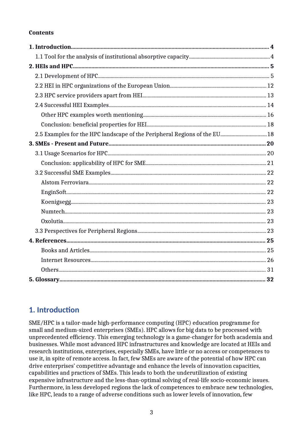### **Contents**

| 2.5 Examples for the HPC landscape of the Peripheral Regions of the EU 18 |  |
|---------------------------------------------------------------------------|--|
|                                                                           |  |
|                                                                           |  |
|                                                                           |  |
|                                                                           |  |
|                                                                           |  |
|                                                                           |  |
|                                                                           |  |
|                                                                           |  |
|                                                                           |  |
|                                                                           |  |
|                                                                           |  |
|                                                                           |  |
|                                                                           |  |
|                                                                           |  |
|                                                                           |  |

# <span id="page-2-0"></span>**1. Introduction**

SME/HPC is a tailor-made high-performance computing (HPC) education programme for small and medium-sized enterprises (SMEs). HPC allows for big data to be processed with unprecedented efficiency. This emerging technology is a game-changer for both academia and businesses. While most advanced HPC infrastructures and knowledge are located at HEIs and research institutions, enterprises, especially SMEs, have little or no access or competences to use it, in spite of remote access. In fact, few SMEs are aware of the potential of how HPC can drive enterprises' competitive advantage and enhance the levels of innovation capacities, capabilities and practices of SMEs. This leads to both the underutilization of existing expensive infrastructure and the less-than-optimal solving of real-life socio-economic issues. Furthermore, in less developed regions the lack of competences to embrace new technologies, like HPC, leads to a range of adverse conditions such as lower levels of innovation, few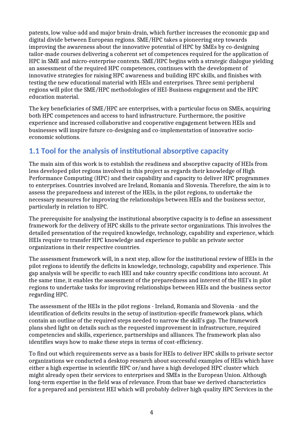patents, low value-add and major brain-drain, which further increases the economic gap and digital divide between European regions. SME/HPC takes a pioneering step towards improving the awareness about the innovative potential of HPC by SMEs by co-designing tailor-made courses delivering a coherent set of competences required for the application of HPC in SME and micro-enterprise contexts. SME/HPC begins with a strategic dialogue yielding an assessment of the required HPC competences, continues with the development of innovative strategies for raising HPC awareness and building HPC skills, and finishes with testing the new educational material with HEIs and enterprises. Three semi-peripheral regions will pilot the SME/HPC methodologies of HEI-Business engagement and the HPC education material.

The key beneficiaries of SME/HPC are enterprises, with a particular focus on SMEs, acquiring both HPC competences and access to hard infrastructure. Furthermore, the positive experience and increased collaborative and cooperative engagement between HEIs and businesses will inspire future co-designing and co-implementation of innovative socioeconomic solutions.

# <span id="page-3-0"></span>**1.1 Tool for the analysis of institutional absorptive capacity**

The main aim of this work is to establish the readiness and absorptive capacity of HEIs from less developed pilot regions involved in this project as regards their knowledge of High Performance Computing (HPC) and their capability and capacity to deliver HPC programmes to enterprises. Countries involved are Ireland, Romania and Slovenia. Therefore, the aim is to assess the preparedness and interest of the HEIs, in the pilot regions, to undertake the necessary measures for improving the relationships between HEIs and the business sector, particularly in relation to HPC.

The prerequisite for analysing the institutional absorptive capacity is to define an assessment framework for the delivery of HPC skills to the private sector organizations. This involves the detailed presentation of the required knowledge, technology, capability and experience, which HEIs require to transfer HPC knowledge and experience to public an private sector organizations in their respective countries.

The assessment framework will, in a next step, allow for the institutional review of HEIs in the pilot regions to identify the deficits in knowledge, technology, capability and experience. This gap analysis will be specific to each HEI and take country specific conditions into account. At the same time, it enables the assessment of the preparedness and interest of the HEI's in pilot regions to undertake tasks for improving relationships between HEIs and the business sector regarding HPC.

The assessment of the HEIs in the pilot regions - Ireland, Romania and Slovenia - and the identification of deficits results in the setup of institution-specific framework plans, which contain an outline of the required steps needed to narrow the skill's gap. The framework plans shed light on details such as the requested improvement in infrastructure, required competencies and skills, experience, partnerships and alliances. The framework plan also identifies ways how to make these steps in terms of cost-efficiency.

To find out which requirements serve as a basis for HEIs to deliver HPC skills to private sector organizations we conducted a desktop research about successful examples of HEIs which have either a high expertise in scientific HPC or/and have a high developed HPC cluster which might already open their services to enterprises and SMEs in the European Union. Although long-term expertise in the field was of relevance. From that base we derived characteristics for a prepared and persistent HEI which will probably deliver high quality HPC Services in the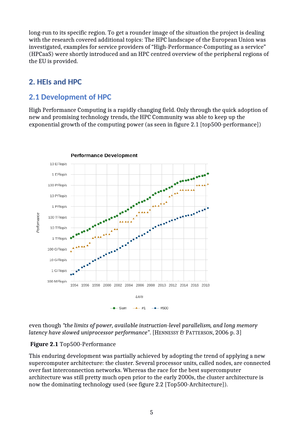long-run to its specific region. To get a rounder image of the situation the project is dealing with the research covered additional topics: The HPC landscape of the European Union was investigated, examples for service providers of "High-Performance-Computing as a service" (HPCaaS) were shortly introduced and an HPC centred overview of the peripheral regions of the EU is provided.

# <span id="page-4-0"></span>**2. HEIs and HPC**

## <span id="page-4-1"></span>**2.1 Development of HPC**

High Performance Computing is a rapidly changing field. Only through the quick adoption of new and promising technology trends, the HPC Community was able to keep up the exponential growth of the computing power (as seen in figure 2.1 [top500-performance])



even though *"the limits of power, available instruction-level parallelism, and long memory latency have slowed uniprocessor performance*". [HENNESSY & PATTERSON, 2006 p. 3]

## **Figure 2.1** Top500-Performance

This enduring development was partially achieved by adopting the trend of applying a new supercomputer architecture: the cluster. Several processor units, called nodes, are connected over fast interconnection networks. Whereas the race for the best supercomputer architecture was still pretty much open prior to the early 2000s, the cluster architecture is now the dominating technology used (see figure 2.2 [Top500-Architecture]).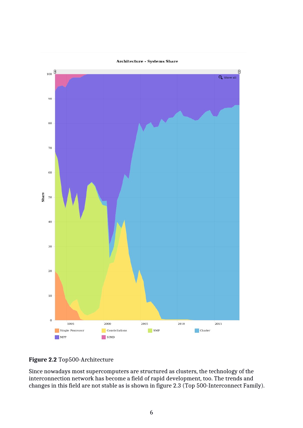**Architecture - Systems Share** 



## **Figure 2.2** Top500-Architecture

Since nowadays most supercomputers are structured as clusters, the technology of the interconnection network has become a field of rapid development, too. The trends and changes in this field are not stable as is shown in figure 2.3 (Top 500-Interconnect Family).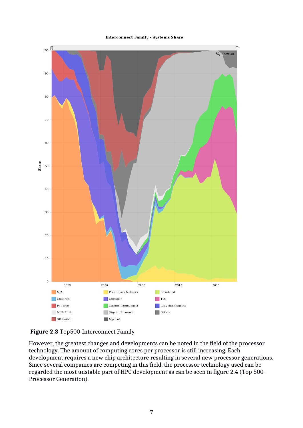#### **Interconnect Family - Systems Share**





However, the greatest changes and developments can be noted in the field of the processor technology. The amount of computing cores per processor is still increasing. Each development requires a new chip architecture resulting in several new processor generations. Since several companies are competing in this field, the processor technology used can be regarded the most unstable part of HPC development as can be seen in figure 2.4 (Top 500- Processor Generation).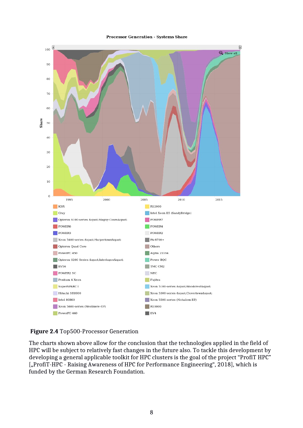#### **Processor Generation - Systems Share**



**Figure 2.4** Top500-Processor Generation

The charts shown above allow for the conclusion that the technologies applied in the field of HPC will be subject to relatively fast changes in the future also. To tackle this development by developing a general applicable toolkit for HPC clusters is the goal of the project "ProfiT HPC" ["ProfiT-HPC - Raising Awareness of HPC for Performance Engineering", 2018], which is funded by the German Research Foundation.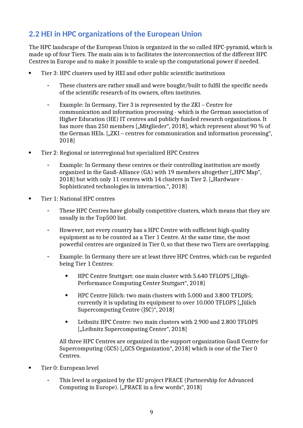# <span id="page-8-0"></span>**2.2 HEI in HPC organizations of the European Union**

The HPC landscape of the European Union is organized in the so called HPC-pyramid, which is made up of four Tiers. The main aim is to facilitates the interconnection of the different HPC Centres in Europe and to make it possible to scale up the computational power if needed.

- Tier 3: HPC clusters used by HEI and other public scientific institutions
	- These clusters are rather small and were bought/built to fulfil the specific needs of the scientific research of its owners, often institutes.
	- Example: In Germany, Tier 3 is represented by the ZKI Centre for communication and information processing - which is the German association of Higher Education (HE) IT centres and publicly funded research organizations. It has more than 250 members ["Mitglieder", 2018], which represent about 90 % of the German HEIs.  $\left[ \right. \right|$ , ZKI – centres for communication and information processing", 2018]
- Tier 2: Regional or interregional but specialized HPC Centres
	- Example: In Germany these centres or their controlling institution are mostly organized in the Gauß-Alliance  $(GA)$  with 19 members altogether ["HPC Map", 2018] but with only 11 centres with 14 clusters in Tier 2. ["Hardware -Sophisticated technologies in interaction.", 2018]
- Tier 1: National HPC centres
	- These HPC Centres have globally competitive clusters, which means that they are usually in the Top500 list.
	- However, not every country has a HPC Centre with sufficient high-quality equipment as to be counted as a Tier 1 Centre. At the same time, the most powerful centres are organized in Tier 0, so that these two Tiers are overlapping.
	- Example: In Germany there are at least three HPC Centres, which can be regarded being Tier 1 Centres:
		- HPC Centre Stuttgart: one main cluster with 5.640 TFLOPS ["High-Performance Computing Center Stuttgart", 2018]
		- HPC Centre Jülich: two main clusters with 5.000 and 3.800 TFLOPS; currently it is updating its equipment to over 10.000 TFLOPS ["Jülich Supercomputing Centre (JSC)", 2018]
		- Leibnitz HPC Centre: two main clusters with 2.900 and 2.800 TFLOPS ["Leibnitz Supercomputing Center", 2018]

All three HPC Centres are organized in the support organization Gauß Centre for Supercomputing  $(GCS)$  ["GCS Organization", 2018] which is one of the Tier 0 Centres.

- Tier 0: European level
	- This level is organized by the EU project PRACE (Partnership for Advanced Computing in Europe). ["PRACE in a few words", 2018]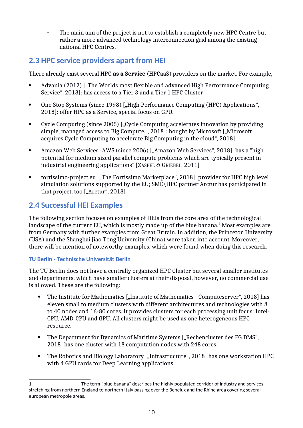The main aim of the project is not to establish a completely new HPC Centre but rather a more advanced technology interconnection grid among the existing national HPC Centres.

# <span id="page-9-0"></span>**2.3 HPC service providers apart from HEI**

There already exist several HPC **as a Service** (HPCaaS) providers on the market. For example,

- Advania (2012) ["The Worlds most flexible and advanced High Performance Computing Service", 2018]: has access to a Tier 3 and a Tier 1 HPC Cluster
- One Stop Systems (since 1998) ["High Performance Computing (HPC) Applications", 2018]: offer HPC as a Service, special focus on GPU.
- Cycle Computing (since 2005) ["Cycle Computing accelerates innovation by providing simple, managed access to Big Compute.", 2018]: bought by Microsoft ["Microsoft acquires Cycle Computing to accelerate Big Computing in the cloud", 2018]
- Amazon Web Services -AWS (since 2006) ["Amazon Web Services", 2018]: has a "high potential for medium sized parallel compute problems which are typically present in industrial engineering applications" [ZASPEL & GRIEBEL, 2011]
- fortissimo-project.eu ["The Fortissimo Marketplace", 2018]: provider for HPC high level simulation solutions supported by the EU; SME\HPC partner Arctur has participated in that project, too  $[,$  Arctur", 2018]

# <span id="page-9-1"></span>**2.4 Successful HEI Examples**

The following section focuses on examples of HEIs from the core area of the technological landscape of the current EU, which is mostly made up of the blue banana. $^1$  $^1$  Most examples are from Germany with further examples from Great Britain. In addition, the Princeton University (USA) and the Shanghai Jiao Tong University (China) were taken into account. Moreover, there will be mention of noteworthy examples, which were found when doing this research.

## **TU Berlin - Technische Universität Berlin**

The TU Berlin does not have a centrally organized HPC Cluster but several smaller institutes and departments, which have smaller clusters at their disposal, however, no commercial use is allowed. These are the following:

- The Institute for Mathematics ["Institute of Mathematics Computeserver", 2018] has eleven small to medium clusters with different architectures and technologies with 8 to 40 nodes and 16-80 cores. It provides clusters for each processing unit focus: Intel-CPU, AMD-CPU and GPU. All clusters might be used as one heterogeneous HPC resource.
- The Department for Dynamics of Maritime Systems ["Rechencluster des FG DMS", 2018] has one cluster with 18 computation nodes with 248 cores.
- The Robotics and Biology Laboratory ["Infrastructure", 2018] has one workstation HPC with 4 GPU cards for Deep Learning applications.

<span id="page-9-2"></span><sup>1</sup> The term "blue banana" describes the highly populated corridor of industry and services stretching from northern England to northern Italy passing over the Benelux and the Rhine area covering several european metropole areas.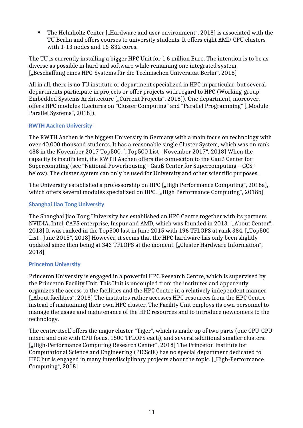• The Helmholtz Center ["Hardware and user environment", 2018] is associated with the TU Berlin and offers courses to university students. It offers eight AMD-CPU clusters with 1-13 nodes and 16-832 cores.

The TU is currently installing a bigger HPC Unit for 1.6 million Euro. The intention is to be as diverse as possible in hard and software while remaining one integrated system. ["Beschaffung eines HPC-Systems für die Technischen Universität Berlin", 2018]

All in all, there is no TU institute or department specialized in HPC in particular, but several departments participate in projects or offer projects with regard to HPC (Working-group Embedded Systems Architecture ["Current Projects", 2018]). One department, moreover, offers HPC modules (Lectures on "Cluster Computing" and "Parallel Programming" ["Module: Parallel Systems", 2018]).

### **RWTH Aachen University**

The RWTH Aachen is the biggest University in Germany with a main focus on technology with over 40.000 thousand students. It has a reasonable single Cluster System, which was on rank 488 in the November 2017 Top500. ["Top500 List - November 2017", 2018] When the capacity is insufficient, the RWTH Aachen offers the connection to the Gauß Center for Supercomuting (see "National Powerhousing - Gauß Center for Supercomputing – GCS" below). The cluster system can only be used for University and other scientific purposes.

The University established a professorship on HPC ["High Performance Computing", 2018a], which offers several modules specialized on HPC. ["High Performance Computing", 2018b]

## **Shanghai Jiao Tong University**

The Shanghai Jiao Tong University has established an HPC Centre together with its partners NVIDIA, Intel, CAPS enterprise, Inspur and AMD, which was founded in 2013. ["About Center", 2018] It was ranked in the Top500 last in June 2015 with 196 TFLOPS at rank 384. ["Top500 List - June 2015", 2018] However, it seems that the HPC hardware has only been slightly updated since then being at 343 TFLOPS at the moment. ["Cluster Hardware Information", 2018]

## **Princeton University**

Princeton University is engaged in a powerful HPC Research Centre, which is supervised by the Princeton Facility Unit. This Unit is uncoupled from the institutes and apparently organizes the access to the facilities and the HPC Centre in a relatively independent manner. ["About facilities", 2018] The institutes rather accesses HPC resources from the HPC Centre instead of maintaining their own HPC cluster. The Facility Unit employs its own personnel to manage the usage and maintenance of the HPC resources and to introduce newcomers to the technology.

The centre itself offers the major cluster "Tiger", which is made up of two parts (one CPU-GPU mixed and one with CPU focus, 1500 TFLOPS each), and several additional smaller clusters. ["High-Performance Computing Research Center", 2018] The Princeton Institute for Computational Science and Engineering (PICSciE) has no special department dedicated to HPC but is engaged in many interdisciplinary projects about the topic. ["High-Performance Computing", 2018]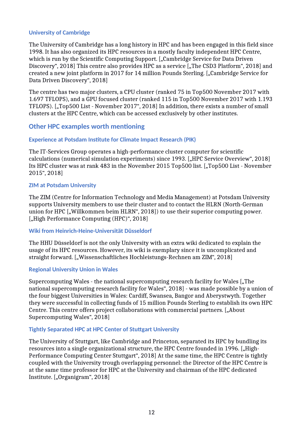### **University of Cambridge**

The University of Cambridge has a long history in HPC and has been engaged in this field since 1998. It has also organized its HPC resources in a mostly faculty independent HPC Centre, which is run by the Scientific Computing Support. ["Cambridge Service for Data Driven Discovery", 2018] This centre also provides HPC as a service ["The CSD3 Platform", 2018] and created a new joint platform in 2017 for 14 million Pounds Sterling. ["Cambridge Service for Data Driven Discovery", 2018]

The centre has two major clusters, a CPU cluster (ranked 75 in Top500 November 2017 with 1.697 TFLOPS), and a GPU focused cluster (ranked 115 in Top500 November 2017 with 1.193 TFLOPS). ["Top500 List - November 2017", 2018] In addition, there exists a number of small clusters at the HPC Centre, which can be accessed exclusively by other institutes.

## <span id="page-11-0"></span>**Other HPC examples worth mentioning**

### **Experience at Potsdam Institute for Climate Impact Research (PIK)**

The IT-Services Group operates a high-performance cluster computer for scientific calculations (numerical simulation experiments) since 1993. ["HPC Service Overview", 2018] Its HPC cluster was at rank 483 in the November 2015 Top500 list. ["Top500 List - November 2015", 2018]

### **ZIM at Potsdam University**

The ZIM (Centre for Information Technology and Media Management) at Potsdam University supports University members to use their cluster and to contact the HLRN (North-German union for HPC ["Willkommen beim HLRN", 2018]) to use their superior computing power. ["High Performance Computing (HPC)", 2018]

### **Wiki from Heinrich-Heine-Universität Düsseldorf**

The HHU Düsseldorf is not the only University with an extra wiki dedicated to explain the usage of its HPC resources. However, its wiki is exemplary since it is uncomplicated and straight forward. ["Wissenschaftliches Hochleistungs-Rechnen am ZIM", 2018]

### **Regional University Union in Wales**

Supercomputing Wales - the national supercomputing research facility for Wales ["The national supercomputing research facility for Wales", 2018] - was made possible by a union of the four biggest Universities in Wales: Cardiff, Swansea, Bangor and Aberystwyth. Together they were successful in collecting funds of 15 million Pounds Sterling to establish its own HPC Centre. This centre offers project collaborations with commercial partners. ["About Supercomputing Wales", 2018]

#### **Tightly Separated HPC at HPC Center of Stuttgart University**

The University of Stuttgart, like Cambridge and Princeton, separated its HPC by bundling its resources into a single organizational structure, the HPC Centre founded in 1996. ["High-Performance Computing Center Stuttgart", 2018] At the same time, the HPC Centre is tightly coupled with the University trough overlapping personnel: the Director of the HPC Centre is at the same time professor for HPC at the University and chairman of the HPC dedicated Institute. ["Organigram", 2018]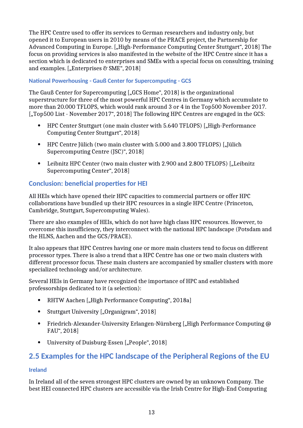The HPC Centre used to offer its services to German researchers and industry only, but opened it to European users in 2010 by means of the PRACE project, the Partnership for Advanced Computing in Europe. ["High-Performance Computing Center Stuttgart", 2018] The focus on providing services is also manifested in the website of the HPC Centre since it has a section which is dedicated to enterprises and SMEs with a special focus on consulting, training and examples. ["Enterprises  $\mathcal C$  SME", 2018]

### **National Powerhousing - Gauß Center for Supercomputing - GCS**

The Gauß Center for Supercomputing ["GCS Home", 2018] is the organizational superstructure for three of the most powerful HPC Centres in Germany which accumulate to more than 20.000 TFLOPS, which would rank around 3 or 4 in the Top500 November 2017. ["Top500 List - November 2017", 2018] The following HPC Centres are engaged in the GCS:

- HPC Center Stuttgart (one main cluster with 5.640 TFLOPS) ["High-Performance Computing Center Stuttgart", 2018]
- HPC Centre Jülich (two main cluster with 5.000 and 3.800 TFLOPS) ["Jülich Supercomputing Centre (JSC)", 2018]
- Leibnitz HPC Center (two main cluster with 2.900 and 2.800 TFLOPS) ["Leibnitz Supercomputing Center", 2018]

## <span id="page-12-0"></span>**Conclusion: beneficial properties for HEI**

All HEIs which have opened their HPC capacities to commercial partners or offer HPC collaborations have bundled up their HPC resources in a single HPC Centre (Princeton, Cambridge, Stuttgart, Supercomputing Wales).

There are also examples of HEIs, which do not have high class HPC resources. However, to overcome this insufficiency, they interconnect with the national HPC landscape (Potsdam and the HLNS, Aachen and the GCS/PRACE).

It also appears that HPC Centres having one or more main clusters tend to focus on different processor types. There is also a trend that a HPC Centre has one or two main clusters with different processor focus. These main clusters are accompanied by smaller clusters with more specialized technology and/or architecture.

Several HEIs in Germany have recognized the importance of HPC and established professorships dedicated to it (a selection):

- RHTW Aachen ["High Performance Computing", 2018a]
- Stuttgart University ["Organigram", 2018]
- Friedrich-Alexander-University Erlangen-Nürnberg ["High Performance Computing @ FAU", 2018]
- University of Duisburg-Essen ["People", 2018]

## <span id="page-12-1"></span>**2.5 Examples for the HPC landscape of the Peripheral Regions of the EU**

### **Ireland**

In Ireland all of the seven strongest HPC clusters are owned by an unknown Company. The best HEI connected HPC clusters are accessible via the Irish Centre for High-End Computing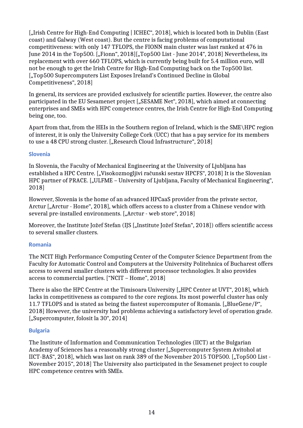["Irish Centre for High-End Computing | ICHEC", 2018], which is located both in Dublin (East) coast) and Galway (West coast). But the centre is facing problems of computational competitiveness: with only 147 TFLOPS, the FIONN main cluster was last ranked at 476 in June 2014 in the Top500. ["Fionn", 2018]["Top500 List - June 2014", 2018] Nevertheless, its replacement with over 660 TFLOPS, which is currently being built for 5.4 million euro, will not be enough to get the Irish Centre for High-End Computing back on the Top500 list. ["Top500 Supercomputers List Exposes Ireland's Continued Decline in Global Competitiveness", 2018]

In general, its services are provided exclusively for scientific parties. However, the centre also participated in the EU Sesamenet project ["SESAME Net", 2018], which aimed at connecting enterprises and SMEs with HPC competence centres, the Irish Centre for High-End Computing being one, too.

Apart from that, from the HEIs in the Southern region of Ireland, which is the SME\HPC region of interest, it is only the University College Cork (UCC) that has a pay service for its members to use a 48 CPU strong cluster. ["Research Cloud Infrastructure", 2018]

#### **Slovenia**

In Slovenia, the Faculty of Mechanical Engineering at the University of Ljubljana has established a HPC Centre. ["Visokozmogljivi računski sestav HPCFS", 2018] It is the Slovenian HPC partner of PRACE. ["ULFME – University of Ljubljana, Faculty of Mechanical Engineering", 2018]

However, Slovenia is the home of an advanced HPCaaS provider from the private sector, Arctur ["Arctur - Home", 2018], which offers access to a cluster from a Chinese vendor with several pre-installed environments. ["Arctur - web store", 2018]

Moreover, the Institute Jožef Stefan (IJS ["Institute Jožef Stefan", 2018]) offers scientific access to several smaller clusters.

### **Romania**

The NCIT High Performance Computing Center of the Computer Science Department from the Faculty for Automatic Control and Computers at the University Politehnica of Bucharest offers access to several smaller clusters with different processor technologies. It also provides access to commercial parties. ["NCIT – Home", 2018]

There is also the HPC Centre at the Timisoara University ["HPC Center at UVT", 2018], which lacks in competitiveness as compared to the core regions. Its most powerful cluster has only 11.7 TFLOPS and is stated as being the fastest supercomputer of Romania. ["BlueGene/P", 2018] However, the university had problems achieving a satisfactory level of operation grade. ["Supercomputer, folosit la 30", 2014]

#### **Bulgaria**

The Institute of Information and Communication Technologies (IICT) at the Bulgarian Academy of Sciences has a reasonably strong cluster ["Supercomputer System Avitohol at IICT-BAS", 2018], which was last on rank 389 of the November 2015 TOP500. ["Top500 List -November 2015", 2018] The University also participated in the Sesamenet project to couple HPC competence centres with SMEs.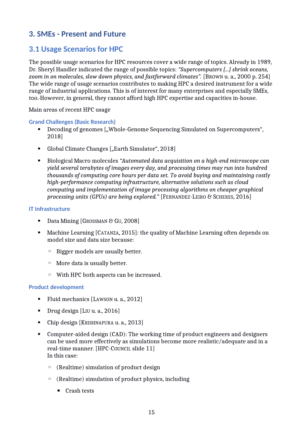## <span id="page-14-0"></span>**3. SMEs - Present and Future**

## <span id="page-14-1"></span>**3.1 Usage Scenarios for HPC**

The possible usage scenarios for HPC resources cover a wide range of topics. Already in 1989, Dr. Sheryl Handler indicated the range of possible topics: *"Supercomputers [...] shrink oceans, zoom in on molecules, slow down physics, and fastforward climates".* [BROWN u. a., 2000 p. 254] The wide range of usage scenarios contributes to making HPC a desired instrument for a wide range of industrial applications. This is of interest for many enterprises and especially SMEs, too. However, in general, they cannot afford high HPC expertise and capacities in-house.

Main areas of recent HPC usage

**Grand Challenges (Basic Research)**

- Decoding of genomes ["Whole-Genome Sequencing Simulated on Supercomputers", 2018]
- Global Climate Changes ["Earth Simulator", 2018]
- Biological Macro molecules *"Automated data acquisition on a high-end microscope can yield several terabytes of images every day, and processing times may run into hundred thousands of computing core hours per data set. To avoid buying and maintaining costly high-performance computing infrastructure, alternative solutions such as cloud computing and implementation of image processing algorithms on cheaper graphical processing units (GPUs) are being explored."* [FERNANDEZ-LEIRO & SCHERES, 2016]

#### **IT Infrastructure**

- Data Mining [GROSSMAN & GU, 2008]
- Machine Learning [CATANZA, 2015]: the quality of Machine Learning often depends on model size and data size because:
	- Bigger models are usually better.
	- More data is usually better.
	- With HPC both aspects can be increased.

#### **Product development**

- Fluid mechanics [LAWSON u. a., 2012]
- Drug design [LIU u. a., 2016]
- Chip design [KRISHNAPURA u. a., 2013]
- Computer-aided design (CAD): The working time of product engineers and designers can be used more effectively as simulations become more realistic/adequate and in a real-time manner. [HPC-COUNCIL slide 11] In this case:
	- (Realtime) simulation of product design
	- (Realtime) simulation of product physics, including
		- Crash tests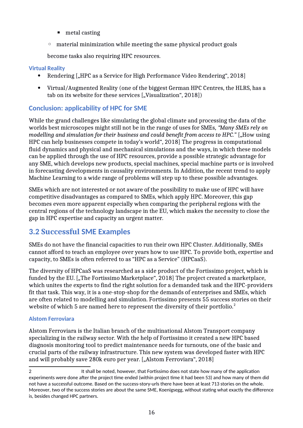- $\blacksquare$  metal casting
- material minimization while meeting the same physical product goals

become tasks also requiring HPC resources.

### **Virtual Reality**

- Rendering ["HPC as a Service for High Performance Video Rendering", 2018]
- Virtual/Augmented Reality (one of the biggest German HPC Centres, the HLRS, has a tab on its website for these services ["Visualization", 2018])

## <span id="page-15-0"></span>**Conclusion: applicability of HPC for SME**

While the grand challenges like simulating the global climate and processing the data of the worlds best microscopes might still not be in the range of uses for SMEs, *"Many SMEs rely on modelling and simulation for their business and could benefit from access to HPC."* ["How using HPC can help businesses compete in today's world", 2018] The progress in computational fluid dynamics and physical and mechanical simulations and the ways, in which these models can be applied through the use of HPC resources, provide a possible strategic advantage for any SME, which develops new products, special machines, special machine parts or is involved in forecasting developments in causality environments. In Addition, the recent trend to apply Machine Learning to a wide range of problems will step up to these possible advantages.

SMEs which are not interested or not aware of the possibility to make use of HPC will have competitive disadvantages as compared to SMEs, which apply HPC. Moreover, this gap becomes even more apparent especially when comparing the peripheral regions with the central regions of the technology landscape in the EU, which makes the necessity to close the gap in HPC expertise and capacity an urgent matter.

## <span id="page-15-1"></span>**3.2 Successful SME Examples**

SMEs do not have the financial capacities to run their own HPC Cluster. Additionally, SMEs cannot afford to teach an employee over years how to use HPC. To provide both, expertise and capacity, to SMEs is often referred to as "HPC as a Service" (HPCaaS).

The diversity of HPCaaS was researched as a side product of the Fortissimo project, which is funded by the EU. ["The Fortissimo Marketplace", 2018] The project created a marketplace, which unites the experts to find the right solution for a demanded task and the HPC-providers fit that task. This way, it is a one-stop-shop for the demands of enterprises and SMEs, which are often related to modelling and simulation. Fortissimo presents 55 success stories on their website of which 5 are named here to represent the diversity of their portfolio.<sup>[2](#page-15-3)</sup>

## <span id="page-15-2"></span>**Alstom Ferroviara**

Alstom Ferroviara is the Italian branch of the multinational Alstom Transport company specializing in the railway sector. With the help of Fortissimo it created a new HPC based diagnosis monitoring tool to predict maintenance needs for turnouts, one of the basic and crucial parts of the railway infrastructure. This new system was developed faster with HPC and will probably save 280k euro per year. ["Alstom Ferroviara", 2018]

<span id="page-15-3"></span><sup>2 12</sup> It shall be noted, however, that Fortissimo does not state how many of the application experiments were done after the project time ended (within project time it had been 53) and how many of them did not have a successful outcome. Based on the success-story-urls there have been at least 713 stories on the whole. Moreover, two of the success stories are about the same SME, Koenigsegg, without stating what exactly the difference is, besides changed HPC partners.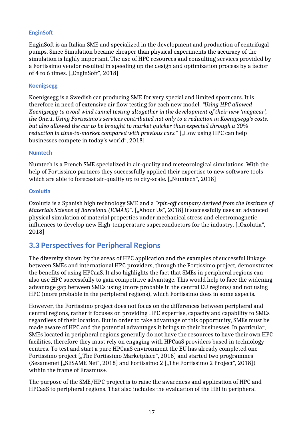### <span id="page-16-1"></span>**EnginSoft**

EnginSoft is an Italian SME and specialized in the development and production of centrifugal pumps. Since Simulation became cheaper than physical experiments the accuracy of the simulation is highly important. The use of HPC resources and consulting services provided by a Fortissimo vendor resulted in speeding up the design and optimization process by a factor of 4 to 6 times.  $[$ "EnginSoft", 2018]

#### <span id="page-16-2"></span>**Koenigsegg**

Koenigsegg is a Swedish car producing SME for very special and limited sport cars. It is therefore in need of extensive air flow testing for each new model. *"Using HPC allowed Koenigsegg to avoid wind tunnel testing altogether in the development of their new 'megacar', the One:1. Using Fortissimo's services contributed not only to a reduction in Koenigsegg's costs, but also allowed the car to be brought to market quicker than expected through a 30% reduction in time-to-market compared with previous cars."* ["How using HPC can help businesses compete in today's world", 2018]

#### <span id="page-16-3"></span>**Numtech**

Numtech is a French SME specialized in air-quality and meteorological simulations. With the help of Fortissimo partners they successfully applied their expertise to new software tools which are able to forecast air-quality up to city-scale. ["Numtech", 2018]

#### <span id="page-16-0"></span>**Oxolutia**

Oxolutia is a Spanish high technology SME and a *"spin-off company derived from the Institute of Materials Science of Barcelona (ICMAB)".* ["About Us", 2018] It successfully uses an advanced physical simulation of material properties under mechanical stress and electromagnetic influences to develop new High-temperature superconductors for the industry. ["Oxolutia", 2018]

## <span id="page-16-4"></span>**3.3 Perspectives for Peripheral Regions**

The diversity shown by the areas of HPC application and the examples of successful linkage between SMEs and international HPC providers, through the Fortissimo project, demonstrates the benefits of using HPCaaS. It also highlights the fact that SMEs in peripheral regions can also use HPC successfully to gain competitive advantage. This would help to face the widening advantage gap between SMEs using (more probable in the central EU regions) and not using HPC (more probable in the peripheral regions), which Fortissimo does in some aspects.

However, the Fortissimo project does not focus on the differences between peripheral and central regions, rather it focuses on providing HPC expertise, capacity and capability to SMEs regardless of their location. But in order to take advantage of this opportunity, SMEs must be made aware of HPC and the potential advantages it brings to their businesses. In particular, SMEs located in peripheral regions generally do not have the resources to have their own HPC facilities, therefore they must rely on engaging with HPCaaS providers based in technology centres. To test and start a pure HPCaaS environment the EU has already completed one Fortissimo project ["The Fortissimo Marketplace", 2018] and started two programmes (Sesamenet ["SESAME Net", 2018] and Fortissimo 2 ["The Fortissimo 2 Project", 2018]) within the frame of Erasmus+.

The purpose of the SME/HPC project is to raise the awareness and application of HPC and HPCaaS to peripheral regions. That also includes the evaluation of the HEI in peripheral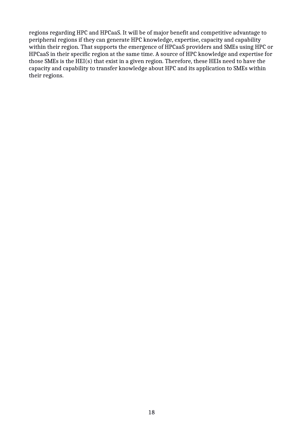regions regarding HPC and HPCaaS. It will be of major benefit and competitive advantage to peripheral regions if they can generate HPC knowledge, expertise, capacity and capability within their region. That supports the emergence of HPCaaS providers and SMEs using HPC or HPCaaS in their specific region at the same time. A source of HPC knowledge and expertise for those SMEs is the HEI(s) that exist in a given region. Therefore, these HEIs need to have the capacity and capability to transfer knowledge about HPC and its application to SMEs within their regions.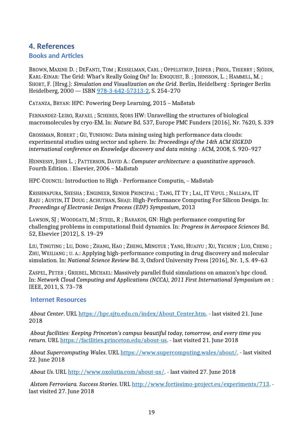# <span id="page-18-0"></span>**4. References**

## <span id="page-18-1"></span>**Books and Articles**

BROWN, MAXINE D. ; DEFANTI, TOM ; KESSELMAN, CARL ; OPPELSTRUP, JESPER ; PRIOL, THIERRY ; SJÖDIN, KARL-EINAR: The Grid: What's Really Going On? In: ENGQUIST, B. ; JOHNSSON, L. ; HAMMILL, M. ; SHORT, F. [Hrsg.]: *Simulation and Visualization on the Grid*. Berlin, Heidelberg : Springer Berlin Heidelberg, 2000 — ISBN [978-3-642-57313-2,](https://worldcat.org/isbn/978-3-642-57313-2) S. 254–270

CATANZA, BRYAN: HPC: Powering Deep Learning, 2015 – Maßstab

FERNANDEZ-LEIRO, RAFAEL ; SCHERES, SJORS HW: Unravelling the structures of biological macromolecules by cryo-EM. In: *Nature* Bd. 537, Europe PMC Funders [2016], Nr. 7620, S. 339

GROSSMAN, ROBERT ; GU, YUNHONG: Data mining using high performance data clouds: experimental studies using sector and sphere. In: *Proceedings of the 14th ACM SIGKDD international conference on Knowledge discovery and data mining* : ACM, 2008, S. 920–927

HENNESSY, JOHN L. ; PATTERSON, DAVID A.: *Computer architecture: a quantitative approach*. Fourth Edition. : Elsevier, 2006 – Maßstab

HPC-COUNCIL: Introduction to High - Performance Computin, – Maßstab

KRISHNAPURA, SHESHA ; ENGINEER, SENIOR PRINCIPAL ; TANG, IT TY ; LAL, IT VIPUL ; NALLAPA, IT RAJU; AUSTIN, IT DOUG; ACHUTHAN, SHAJI: High-Performance Computing For Silicon Design. In: *Proceedings of Electronic Design Process (EDP) Symposium*, 2013

LAWSON, SJ ; WOODGATE, M ; STEIJL, R ; BARAKOS, GN: High performance computing for challenging problems in computational fluid dynamics. In: *Progress in Aerospace Sciences* Bd. 52, Elsevier [2012], S. 19–29

LIU, TINGTING ; LU, DONG ; ZHANG, HAO ; ZHENG, MINGYUE ; YANG, HUAIYU ; XU, YECHUN ; LUO, CHENG ; ZHU, WEILIANG ; U. A.: Applying high-performance computing in drug discovery and molecular simulation. In: *National Science Review* Bd. 3, Oxford University Press [2016], Nr. 1, S. 49–63

ZASPEL, PETER ; GRIEBEL, MICHAEL: Massively parallel fluid simulations on amazon's hpc cloud. In: *Network Cloud Computing and Applications (NCCA), 2011 First International Symposium on* : IEEE, 2011, S. 73–78

## <span id="page-18-2"></span> **Internet Resources**

*About Center*. URL [https://hpc.sjtu.edu.cn/index/About\\_Center.htm.](https://hpc.sjtu.edu.cn/index/About_Center.htm) - last visited 21. June 2018

*About facilities: Keeping Princeton's campus beautiful today, tomorrow, and every time you return.* URL [https://facilities.princeton.edu/about-us.](https://facilities.princeton.edu/about-us) - last visited 21. June 2018

*About Supercomputing Wales*. URL [https://www.supercomputing.wales/about/.](https://www.supercomputing.wales/about/) - last visited 22. June 2018

*About Us*. URL [http://www.oxolutia.com/about-us/.](http://www.oxolutia.com/about-us/) - last visited 27. June 2018

*Alstom Ferroviara. Success Stories*. URL [http://www.fortissimo-project.eu/experiments/713.](http://www.fortissimo-project.eu/experiments/713) last visited 27. June 2018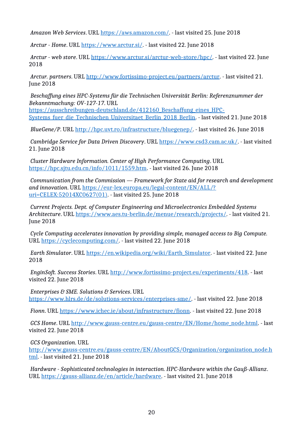*Amazon Web Services*. URL [https://aws.amazon.com/.](https://aws.amazon.com/) - last visited 25. June 2018

*Arctur - Home*. URL [https://www.arctur.si/.](https://www.arctur.si/) - last visited 22. June 2018

*Arctur - web store*. URL [https://www.arctur.si/arctur-web-store/hpc/.](https://www.arctur.si/arctur-web-store/hpc/) - last visited 22. June 2018

*Arctur. partners*. URL [http://www.fortissimo-project.eu/partners/arctur.](http://www.fortissimo-project.eu/partners/arctur) - last visited 21. June 2018

*Beschaffung eines HPC-Systems für die Technischen Universität Berlin: Referenznummer der Bekanntmachung: OV-127-17*. URL

[https://ausschreibungen-deutschland.de/412160\\_Beschaffung\\_eines\\_HPC-](https://ausschreibungen-deutschland.de/412160_Beschaffung_eines_HPC-Systems_fuer_die_Technischen_Universitaet_Berlin_2018_Berlin)Systems fuer die Technischen Universitaet Berlin 2018 Berlin. - last visited 21. June 2018

*BlueGene/P*. URL [http://hpc.uvt.ro/infrastructure/bluegenep/.](http://hpc.uvt.ro/infrastructure/bluegenep/) - last visited 26. June 2018

*Cambridge Service for Data Driven Discovery*. URL [https://www.csd3.cam.ac.uk/.](https://www.csd3.cam.ac.uk/) - last visited 21. June 2018

*Cluster Hardware Information. Center of High Performance Computing*. URL [https://hpc.sjtu.edu.cn/info/1011/1559.htm.](https://hpc.sjtu.edu.cn/info/1011/1559.htm) - last visited 26. June 2018

*Communication from the Commission — Framework for State aid for research and development and innovation*. URL [https://eur-lex.europa.eu/legal-content/EN/ALL/?](https://eur-lex.europa.eu/legal-content/EN/ALL/?uri=CELEX:52014XC0627(01)) [uri=CELEX:52014XC0627\(01\).](https://eur-lex.europa.eu/legal-content/EN/ALL/?uri=CELEX:52014XC0627(01)) - last visited 25. June 2018

*Current Projects. Dept. of Computer Engineering and Microelectronics Embedded Systems Architecture*. URL [https://www.aes.tu-berlin.de/menue/research/projects/.](https://www.aes.tu-berlin.de/menue/research/projects/) - last visited 21. June 2018

*Cycle Computing accelerates innovation by providing simple, managed access to Big Compute.* URL [https://cyclecomputing.com/.](https://cyclecomputing.com/) - last visited 22. June 2018

*Earth Simulator*. URL https://en.wikipedia.org/wiki/Earth Simulator. - last visited 22. June 2018

*EnginSoft. Success Stories*. URL [http://www.fortissimo-project.eu/experiments/418.](http://www.fortissimo-project.eu/experiments/418) - last visited 22. June 2018

*Enterprises & SME. Solutions & Services*. URL [https://www.hlrs.de/de/solutions-services/enterprises-sme/.](https://www.hlrs.de/de/solutions-services/enterprises-sme/) - last visited 22. June 2018

*Fionn*. URL [https://www.ichec.ie/about/infrastructure/fionn.](https://www.ichec.ie/about/infrastructure/fionn) - last visited 22. June 2018

*GCS Home*. URL [http://www.gauss-centre.eu/gauss-centre/EN/Home/home\\_node.html.](http://www.gauss-centre.eu/gauss-centre/EN/Home/home_node.html) - last visited 22. June 2018

*GCS Organization*. URL

[http://www.gauss-centre.eu/gauss-centre/EN/AboutGCS/Organization/organization\\_node.h](http://www.gauss-centre.eu/gauss-centre/EN/AboutGCS/Organization/organization_node.html) [tml.](http://www.gauss-centre.eu/gauss-centre/EN/AboutGCS/Organization/organization_node.html) - last visited 21. June 2018

*Hardware - Sophisticated technologies in interaction. HPC-Hardware within the Gauß-Allianz*. URL [https://gauss-allianz.de/en/article/hardware.](https://gauss-allianz.de/en/article/hardware) - last visited 21. June 2018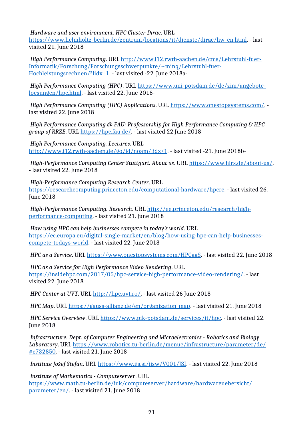*Hardware and user environment. HPC Cluster Dirac*. URL

[https://www.helmholtz-berlin.de/zentrum/locations/it/dienste/dirac/hw\\_en.html.](https://www.helmholtz-berlin.de/zentrum/locations/it/dienste/dirac/hw_en.html) - last visited 21. June 2018

*High Performance Computing*. URL [http://www.i12.rwth-aachen.de/cms/Lehrstuhl-fuer-](http://www.i12.rwth-aachen.de/cms/Lehrstuhl-fuer-Informatik/Forschung/Forschungsschwerpunkte/~minq/Lehrstuhl-fuer-Hochleistungsrechnen/?lidx=1)[Informatik/Forschung/Forschungsschwerpunkte/~minq/Lehrstuhl-fuer-](http://www.i12.rwth-aachen.de/cms/Lehrstuhl-fuer-Informatik/Forschung/Forschungsschwerpunkte/~minq/Lehrstuhl-fuer-Hochleistungsrechnen/?lidx=1)[Hochleistungsrechnen/?lidx=1.](http://www.i12.rwth-aachen.de/cms/Lehrstuhl-fuer-Informatik/Forschung/Forschungsschwerpunkte/~minq/Lehrstuhl-fuer-Hochleistungsrechnen/?lidx=1) - last visited -22. June 2018a-

*High Performance Computing (HPC)*. URL [https://www.uni-potsdam.de/de/zim/angebote](https://www.uni-potsdam.de/de/zim/angebote-loesungen/hpc.html)[loesungen/hpc.html.](https://www.uni-potsdam.de/de/zim/angebote-loesungen/hpc.html) - last visited 22. June 2018-

*High Performance Computing (HPC) Applications*. URL [https://www.onestopsystems.com/.](https://www.onestopsystems.com/) last visited 22. June 2018

*High Performance Computing @ FAU: Professorship for High Performance Computing & HPC group of RRZE*. URL [https://hpc.fau.de/.](https://hpc.fau.de/) - last visited 22 June 2018

*High Performance Computing. Lectures*. URL [http://www.i12.rwth-aachen.de/go/id/noam/lidx/1.](http://www.i12.rwth-aachen.de/go/id/noam/lidx/1) - last visited -21. June 2018b-

*High-Performance Computing Center Stuttgart. About us*. URL [https://www.hlrs.de/about-us/.](https://www.hlrs.de/about-us/) - last visited 22. June 2018

*High-Performance Computing Research Center*. URL [https://researchcomputing.princeton.edu/computational-hardware/hpcrc.](https://researchcomputing.princeton.edu/computational-hardware/hpcrc) - last visited 26. June 2018

*High-Performance Computing. Research*. URL [http://ee.princeton.edu/research/high](http://ee.princeton.edu/research/high-performance-computing)[performance-computing.](http://ee.princeton.edu/research/high-performance-computing) - last visited 21. June 2018

*How using HPC can help businesses compete in today's world*. URL [https://ec.europa.eu/digital-single-market/en/blog/how-using-hpc-can-help-businesses](https://ec.europa.eu/digital-single-market/en/blog/how-using-hpc-can-help-businesses-compete-todays-world)[compete-todays-world.](https://ec.europa.eu/digital-single-market/en/blog/how-using-hpc-can-help-businesses-compete-todays-world) - last visited 22. June 2018

*HPC as a Service*. URL [https://www.onestopsystems.com/HPCaaS.](https://www.onestopsystems.com/HPCaaS) - last visited 22. June 2018

*HPC as a Service for High Performance Video Rendering*. URL [https://insidehpc.com/2017/05/hpc-service-high-performance-video-rendering/.](https://insidehpc.com/2017/05/hpc-service-high-performance-video-rendering/) - last visited 22. June 2018

*HPC Center at UVT*. URL [http://hpc.uvt.ro/.](http://hpc.uvt.ro/) - last visited 26 June 2018

*HPC Map*. URL [https://gauss-allianz.de/en/organization\\_map.](https://gauss-allianz.de/en/organization_map) - last visited 21. June 2018

*HPC Service Overview*. URL [https://www.pik-potsdam.de/services/it/hpc.](https://www.pik-potsdam.de/services/it/hpc) - last visited 22. June 2018

*Infrastructure. Dept. of Computer Engineering and Microelectronics - Robotics and Biology Laboratory*. URL [https://www.robotics.tu-berlin.de/menue/infrastructure/parameter/de/](https://www.robotics.tu-berlin.de/menue/infrastructure/parameter/de/#c732850) [#c732850.](https://www.robotics.tu-berlin.de/menue/infrastructure/parameter/de/#c732850) - last visited 21. June 2018

*Institute Jožef Stefan*. URL [https://www.ijs.si/ijsw/V001/JSI.](https://www.ijs.si/ijsw/V001/JSI) - last visited 22. June 2018

*Institute of Mathematics - Computeserver*. URL [https://www.math.tu-berlin.de/iuk/computeserver/hardware/hardwareuebersicht/](https://www.math.tu-berlin.de/iuk/computeserver/hardware/hardwareuebersicht/parameter/en/) [parameter/en/.](https://www.math.tu-berlin.de/iuk/computeserver/hardware/hardwareuebersicht/parameter/en/) - last visited 21. June 2018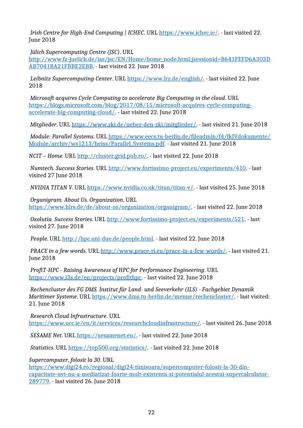*Irish Centre for High-End Computing | ICHEC*. URL [https://www.ichec.ie/.](https://www.ichec.ie/) - last visited 22. June 2018

*Jülich Supercomputing Centre (JSC)*. URL

[http://www.fz-juelich.de/ias/jsc/EN/Home/home\\_node.html;jsessionid=B641FEFD6A303D](http://www.fz-juelich.de/ias/jsc/EN/Home/home_node.html;jsessionid=B641FEFD6A303DAB7041BA21FBBE2EBB) [AB7041BA21FBBE2EBB.](http://www.fz-juelich.de/ias/jsc/EN/Home/home_node.html;jsessionid=B641FEFD6A303DAB7041BA21FBBE2EBB) - last visited 22. June 2018

*Leibnitz Supercomputing Center*. URL [https://www.lrz.de/english/.](https://www.lrz.de/english/) - last visited 22. June 2018

*Microsoft acquires Cycle Computing to accelerate Big Computing in the cloud*. URL [https://blogs.microsoft.com/blog/2017/08/15/microsoft-acquires-cycle-computing](https://blogs.microsoft.com/blog/2017/08/15/microsoft-acquires-cycle-computing-accelerate-big-computing-cloud/)[accelerate-big-computing-cloud/.](https://blogs.microsoft.com/blog/2017/08/15/microsoft-acquires-cycle-computing-accelerate-big-computing-cloud/) - last visited 22. June 2018

*Mitglieder*. URL [https://www.zki.de/ueber-den-zki/mitglieder/.](https://www.zki.de/ueber-den-zki/mitglieder/) - last visited 21. June 2018

*Module: Parallel Systems*. URL [https://www.eecs.tu-berlin.de/fileadmin/f4/fkIVdokumente/](https://www.eecs.tu-berlin.de/fileadmin/f4/fkIVdokumente/Module/archiv/ws1213/heiss/Parallel_Systems.pdf) [Module/archiv/ws1213/heiss/Parallel\\_Systems.pdf.](https://www.eecs.tu-berlin.de/fileadmin/f4/fkIVdokumente/Module/archiv/ws1213/heiss/Parallel_Systems.pdf) - last visited 21. June 2018

*NCIT – Home.* URL [http://cluster.grid.pub.ro/.](http://cluster.grid.pub.ro/) - last visited 22. June 2018

*Numtech. Success Stories*. URL [http://www.fortissimo-project.eu/experiments/410.](http://www.fortissimo-project.eu/experiments/410) - last visited 27 June 2018

*NVIDIA TITAN V*. URL [https://www.nvidia.co.uk/titan/titan-v/.](https://www.nvidia.co.uk/titan/titan-v/) - last visited 25. June 2018

*Organigram. About Us. Organization*. URL [https://www.hlrs.de/de/about-us/organization/organigram/.](https://www.hlrs.de/de/about-us/organization/organigram/) - last visited 22. June 2018

*Oxolutia. Success Stories*. URL [http://www.fortissimo-project.eu/experiments/521.](http://www.fortissimo-project.eu/experiments/521) - last visited 27. June 2018

*People*. URL [http://hpc.uni-due.de/people.html.](http://hpc.uni-due.de/people.html) - last visited 22. June 2018

*PRACE in a few words*. URL [http://www.prace-ri.eu/prace-in-a-few-words/.](http://www.prace-ri.eu/prace-in-a-few-words/) - last visited 21. June 2018

*ProfiT-HPC - Raising Awareness of HPC for Performance Engineering*. URL [https://www.l3s.de/en/projects/profithpc.](https://www.l3s.de/en/projects/profithpc) - last visited 22. June 2018

*Rechencluster des FG DMS. Institut für Land- und Seeverkehr (ILS) - Fachgebiet Dynamik Maritimer Systeme*. URL [https://www.dms.tu-berlin.de/menue/rechencluster/.](https://www.dms.tu-berlin.de/menue/rechencluster/) - last visited: 21. June 2018

*Research Cloud Infrastructure*. URL [https://www.ucc.ie/en/it/services/researchcloudinfrastructure/.](https://www.ucc.ie/en/it/services/researchcloudinfrastructure/) - last visited 26. June 2018

*SESAME Net*. URL [https://sesamenet.eu/.](https://sesamenet.eu/) - last visited 22. June 2018

*Statistics*. URL [https://top500.org/statistics/.](https://top500.org/statistics/) - last visited 22. June 2018

*Supercomputer, folosit la 30*. URL

[https://www.digi24.ro/regional/digi24-timisoara/supercomputer-folosit-la-30-din](https://www.digi24.ro/regional/digi24-timisoara/supercomputer-folosit-la-30-din-capacitate-uvt-nu-a-mediatizat-foarte-mult-existenta-si-potentialul-acestui-supercalculator-289779)[capacitate-uvt-nu-a-mediatizat-foarte-mult-existenta-si-potentialul-acestui-supercalculator-](https://www.digi24.ro/regional/digi24-timisoara/supercomputer-folosit-la-30-din-capacitate-uvt-nu-a-mediatizat-foarte-mult-existenta-si-potentialul-acestui-supercalculator-289779)[289779.](https://www.digi24.ro/regional/digi24-timisoara/supercomputer-folosit-la-30-din-capacitate-uvt-nu-a-mediatizat-foarte-mult-existenta-si-potentialul-acestui-supercalculator-289779) - last visited 26. June 2018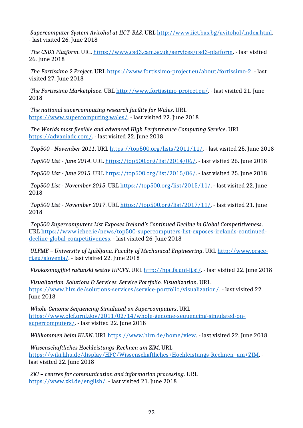*Supercomputer System Avitohol at IICT-BAS*. URL [http://www.iict.bas.bg/avitohol/index.html.](http://www.iict.bas.bg/avitohol/index.html) - last visited 26. June 2018

*The CSD3 Platform*. URL [https://www.csd3.cam.ac.uk/services/csd3-platform.](https://www.csd3.cam.ac.uk/services/csd3-platform) - last visited 26. June 2018

*The Fortissimo 2 Project*. URL [https://www.fortissimo-project.eu/about/fortissimo-2.](https://www.fortissimo-project.eu/about/fortissimo-2) - last visited 27. June 2018

*The Fortissimo Marketplace*. URL [http://www.fortissimo-project.eu/.](http://www.fortissimo-project.eu/) - last visited 21. June 2018

*The national supercomputing research facility for Wales*. URL [https://www.supercomputing.wales/.](https://www.supercomputing.wales/) - last visited 22. June 2018

*The Worlds most flexible and advanced High Performance Computing Service*. URL [https://advaniadc.com/.](https://advaniadc.com/) - last visited 22. June 2018

*Top500 - November 2011*. URL [https://top500.org/lists/2011/11/.](https://top500.org/lists/2011/11/) - last visited 25. June 2018

*Top500 List - June 2014*. URL [https://top500.org/list/2014/06/.](https://top500.org/list/2014/06/) - last visited 26. June 2018

*Top500 List - June 2015*. URL [https://top500.org/list/2015/06/.](https://top500.org/list/2015/06/) - last visited 25. June 2018

*Top500 List - November 2015*. URL [https://top500.org/list/2015/11/.](https://top500.org/list/2015/11/) - last visited 22. June 2018

*Top500 List - November 2017*. URL [https://top500.org/list/2017/11/.](https://top500.org/list/2017/11/) - last visited 21. June 2018

*Top500 Supercomputers List Exposes Ireland's Continued Decline in Global Competitiveness*. URL [https://www.ichec.ie/news/top500-supercomputers-list-exposes-irelands-continued](https://www.ichec.ie/news/top500-supercomputers-list-exposes-irelands-continued-decline-global-competitiveness)[decline-global-competitiveness.](https://www.ichec.ie/news/top500-supercomputers-list-exposes-irelands-continued-decline-global-competitiveness) - last visited 26. June 2018

*ULFME – University of Ljubljana, Faculty of Mechanical Engineering*. URL [http://www.prace](http://www.prace-ri.eu/slovenia/)[ri.eu/slovenia/.](http://www.prace-ri.eu/slovenia/) - last visited 22. June 2018

*Visokozmogljivi računski sestav HPCFS*. URL [http://hpc.fs.uni-lj.si/.](http://hpc.fs.uni-lj.si/) - last visited 22. June 2018

*Visualization. Solutions & Services. Service Portfolio. Visualization*. URL [https://www.hlrs.de/solutions-services/service-portfolio/visualization/.](https://www.hlrs.de/solutions-services/service-portfolio/visualization/) - last visited 22. June 2018

*Whole-Genome Sequencing Simulated on Supercomputers*. URL [https://www.olcf.ornl.gov/2011/02/14/whole-genome-sequencing-simulated-on](https://www.olcf.ornl.gov/2011/02/14/whole-genome-sequencing-simulated-on-supercomputers/)[supercomputers/.](https://www.olcf.ornl.gov/2011/02/14/whole-genome-sequencing-simulated-on-supercomputers/) - last visited 22. June 2018

*Willkommen beim HLRN*. URL [https://www.hlrn.de/home/view.](https://www.hlrn.de/home/view) - last visited 22. June 2018

*Wissenschaftliches Hochleistungs-Rechnen am ZIM*. URL [https://wiki.hhu.de/display/HPC/Wissenschaftliches+Hochleistungs-Rechnen+am+ZIM.](https://wiki.hhu.de/display/HPC/Wissenschaftliches+Hochleistungs-Rechnen+am+ZIM) last visited 22. June 2018

*ZKI – centres for communication and information processing*. URL [https://www.zki.de/english/.](https://www.zki.de/english/) - last visited 21. June 2018